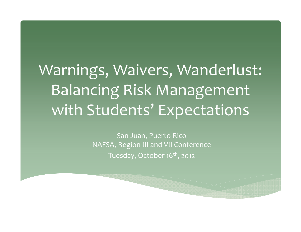# Warnings, Waivers, Wanderlust: Balancing Risk Management with Students' Expectations

San Juan, Puerto Rico NAFSA, Region III and VII Conference Tuesday, October 16<sup>th</sup>, 2012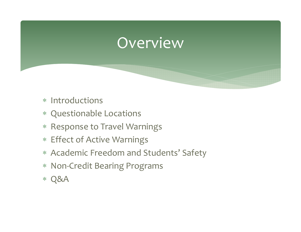## Overview

- \* Introductions
- Questionable Locations
- \* Response to Travel Warnings
- Effect of Active Warnings
- Academic Freedom and Students' Safety
- Non‐Credit Bearing Programs
- $*$  Q&A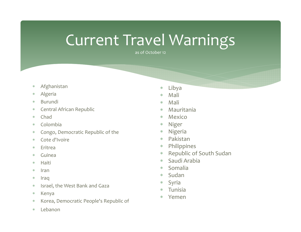## Current Travel Warnings

as of October 12

- $\ast$ Afghanistan
- $\ast$ Algeria
- $\ast$ Burundi
- $\ast$ Central African Republic
- $\ast$ Chad
- $\ast$ Colombia
- $\ast$ Congo, Democratic Republic of the
- $\ast$ Cote d'Ivoire
- $\ast$ Eritrea
- $\ast$ Guinea
- $\ast$ Haiti
- $*$ Iran
- $\ast$ Iraq
- $\ast$ Israel, the West Bank and Gaza
- $\ast$ Kenya
- $\ast$ Korea, Democratic People's Republic of
- $\ast$ Lebanon
- $\ast$ Libya
- $\ast$ Mali
- $\ast$ Mali
- $\ast$ Mauritania
- $\ast$ Mexico
- $\ast$ Niger
- $\ast$ Nigeria
- $\ast$ Pakistan
- $\ast$ Philippines
- $\ast$ Republic of South Sudan
- $\ast$ Saudi Arabia
- $\ast$ Somalia
- $\ast$ Sudan
- $\ast$ Syria
- $\ast$ Tunisia
- $\ast$ Yemen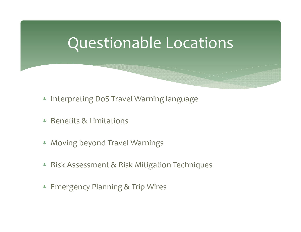## Questionable Locations

- $*$ Interpreting DoS Travel Warning language
- Benefits & Limitations
- $\ast$ Moving beyond Travel Warnings
- Risk Assessment & Risk Mitigation Techniques
- Emergency Planning & Trip Wires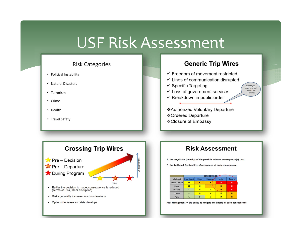## USF Risk Assessment

## **Risk Categories**

- Political Instability
- Natural Disasters
- Terrorism
- Crime
- Health
- Travel Safety

### **Generic Trip Wires**  $\checkmark$  Freedom of movement restricted  $\checkmark$  Lines of communication disrupted  $\checkmark$  Specific Targeting Where you draw your red  $\checkmark$  Loss of government services  $line = Risk$ Tolerance  $\checkmark$  Breakdown in public order

❖ Authorized Voluntary Departure ❖Ordered Departure ❖Closure of Embassy



## **Risk Assessment**

1. the magnitude (severity) of the possible adverse consequence(s), and

2. the likelihood (probability) of occurrence of each consequence.

| Likelihood     | CONSEQUENCE-  |       |          |       |        |
|----------------|---------------|-------|----------|-------|--------|
|                | Insignificant | Minor | Moderate | Major | Severe |
| Almost Certain | м             | н     | н        | Ε     | ε      |
| Likely         | M             | M     | н        | н     | Ε      |
| Possible       |               | м     | м        | н     | Ε      |
| Unlikely       |               | м     | M        | м     | н      |
| Rare           |               |       | м        | м     | н      |

Risk Management = the ability to mitigate the affects of each consequence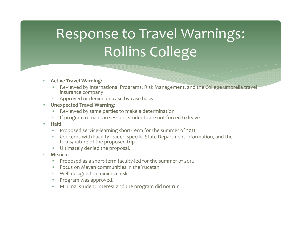# Response to Travel Warnings: Rollins College

### $\ast$ **Active Travel Warning:**

- ∗ Reviewed by International Programs, Risk Management, and the College umbrella travel insurance company
- Approved or denied on case‐by‐case basis
- $\ast$  **Unexpected Travel Warning**:
	- $*$ Reviewed by same parties to make <sup>a</sup> determination
	- $*$  If program remains in session, students are not forced to leave
- $\ast$  **Haiti**:
	- $*$ Proposed service‐learning short‐term for the summer of <sup>2011</sup>
	- Concerns with Faculty leader, specific State Department information, and the focus/nature of the proposed trip
	- Ultimately denied the proposal.
- $\ast$  **Mexico:**
	- $*$ Proposed as <sup>a</sup> short‐term faculty‐led for the summer of <sup>2012</sup>
	- Focus on Mayan communities in the Yucatan
	- Well‐designed to minimize risk
	- Program was approved.
	- Minimal student interest and the program did not run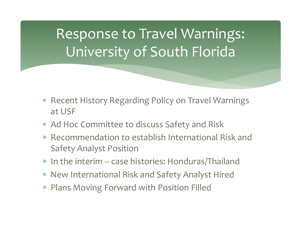# Response to Travel Warnings: University of South Florida

- $\ast$  Recent History Regarding Policy on Travel Warnings at USF
- Ad Hoc Committee to discuss Safety and Risk
- Recommendation to establish International Risk and Safety Analyst Position
- In the interim ‐‐ case histories: Honduras/Thailand
- New International Risk and Safety Analyst Hired
- Plans Moving Forward with Position Filled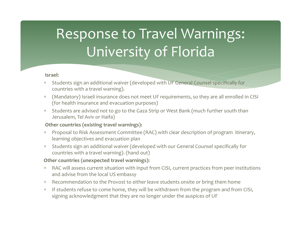# Response to Travel Warnings: University of Florida

### **Israel:**

- ∗ Students sign an additional waiver (developed with UF General Counsel specifically for countries with <sup>a</sup> travel warning).
- $*$  (Mandatory) Israeli insurance does not meet UF requirements, so they are all enrolled in CISI (for health insurance and evacuation purposes)
- $*$  Students are advised not to go to the Gaza Strip or West Bank (much further south than Jerusalem, Tel Aviv or Haifa)

## **Other countries (existing travel warnings):**

- $*$  Proposal to Risk Assessment Committee (RAC) with clear description of program itinerary, learning objectives and evacuation plan
- $*$  Students sign an additional waiver (developed with our General Counsel specifically for countries with <sup>a</sup> travel warning). (hand out)

## **Other countries (unexpected travel warnings):**

- $*$  RAC will assess current situation with input from CISI, current practices from peer institutions and advise from the local US embassy
- Recommendation to the Provost to either leave students onsite or bring them home
- If students refuse to come home, they will be withdrawn from the program and from CISI, signing acknowledgment that they are no longer under the auspices of UF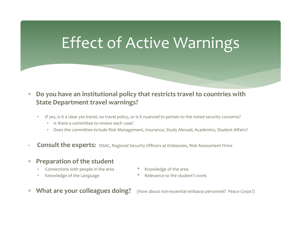## Effect of Active Warnings

### $\ast$  **Do you have an institutional policy that restricts travel to countries with State Department travel warnings?**

- $*$  If yes, is it <sup>a</sup> clear yes travel, no travel policy, or is it nuanced to pertain to the noted security concerns?
	- Is there <sup>a</sup> committee to review each case?
	- $*$ Does the committee include Risk Management, Insurance, Study Abroad, Academics, Student Affairs?
- $*$ **Consult the experts:** OSAC, Regional Security Officers at Embassies, Risk Assessment Firms

### $\ast$ **Preparation of the student**

- Connections with
- 
- \* Knowledge of the area
- \* Knowledge of the Language  $\quad \quad \quad$  \* Relevance to the student's work
- $\ast$ **What are your colleagues doing?**

**your colleagues doing?** (How about non‐essential embassy personnel? Peace Corps?)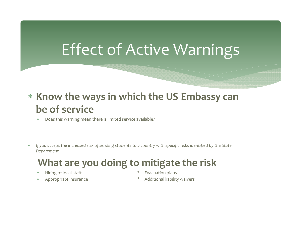# Effect of Active Warnings

## **Know the ways in which the US Embassy can be of service**

- $\ast$ Does this warning mean there is limited service available?
- $\ast$ If you accept the increased risk of sending students to a country with specific risks identified by the State *Department…*

## **What are you doing to mitigate the risk**

- $\ast$
- ∗
- Hiring of local staff  $*$  Evacuation plans
	- Appropriate insurance **\*** Additional liability waivers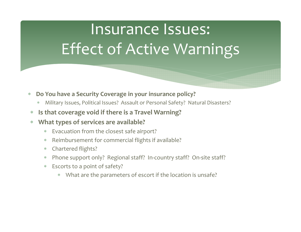# Insurance Issues: Effect of Active Warnings

### $\ast$ **Do You have <sup>a</sup> Security Coverage in your insurance policy?**

- $\ast$ Military Issues, Political Issues? Assault or Personal Safety? Natural Disasters?
- $\ast$ **Is that coverage void if there is <sup>a</sup> Travel Warning?**

### $\ast$ **What types of services are available?**

- $\ast$ Evacuation from the closest safe airport?
- $\ast$ Reimbursement for commercial flights if available?
- Chartered flights?
- Phone suppor<sup>t</sup> only? Regional staff? In‐country staff? On‐site staff?
- Escorts to <sup>a</sup> point of safety?
	- $\ast$ What are the parameters of escort if the location is unsafe?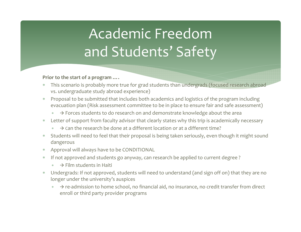# Academic Freedomand Students' Safety

## **Prior to the start of <sup>a</sup> program ….**

- ∗ This scenario is probably more true for grad students than undergrads (focused research abroad vs. undergraduate study abroad experience)
- $\ast$  Proposal to be submitted that includes both academics and logistics of the program including evacuation plan (Risk assessment committee to be in place to ensure fair and safe assessment)
	- ∗  $* \quad \Rightarrow$  Forces students to do research on and demonstrate knowledge about the area
- $*$  Letter of suppor<sup>t</sup> from faculty advisor that clearly states why this trip is academically necessary
	- ∗  $\ast$   $\rightarrow$  Can the research be done at a different location or at a different time?
- $*$  $\,^*$   $\,$  Students will need to feel that their proposal is being taken seriously, even though it might sound dangerous
- ∗ Approval will always have to be CONDITIONAL
- $\ast$  If not approved and students go anyway, can research be applied to current degree ?
	- ∗  $* \rightarrow$  Film students in Haiti
- $\ast$  Undergrads: If not approved, students will need to understand (and sign off on) that they are no longer under the university's auspices
	- $\ast$   $\rightarrow$  $\rightarrow$  re-admission to home school, no financial aid, no insurance, no credit transfer from direct enroll or third party provider programs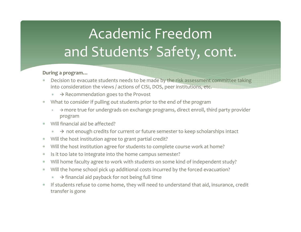# Academic Freedomand Students' Safety, cont.

## **During <sup>a</sup> program…**

- ∗ Decision to evacuate students needs to be made by the risk assessment committee taking into consideration the views / actions of CISI, DOS, peer institutions, etc.
	- ∗  $* \quad \Rightarrow$  Recommendation goes to the Provost
- $*$  What to consider if pulling out students prior to the end of the program
	- ∗  $* \quad \rightarrow$  more true for undergrads on exchange programs, direct enroll, third party provider program
- $\star$  Will financial aid be affected?
	- $*$  $* \rightarrow$  not enough credits for current or future semester to keep scholarships intact
- $\ast$  $\quad$  Will the host institution agree to grant partial credit?
- $\ast$ Will the host institution agree for students to complete course work at home?
- $\ast$  $\quad \quad * \quad$  Is it too late to integrate into the home campus semester?
- $\ast$ Will home faculty agree to work with students on some kind of independent study?
- $\ast$  Will the home school pick up additional costs incurred by the forced evacuation?
	- ∗  $* \quad \Rightarrow$  financial aid payback for not being full time
- $\ast$  If students refuse to come home, they will need to understand that aid, insurance, credit transfer is gone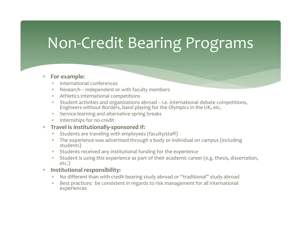## Non‐Credit Bearing Programs

### $*$ **For example:**

- International conferences
- Research independent or with faculty members
- Athletics international competitions
- Student activities and organizations abroad i.e. international debate competitions, Engineers without Borders, band playing for the Olympics in the UK, etc.
- Service‐learning and alternative spring breaks
- Internships for no‐credit

### $\ast$ **Travel is institutionally‐sponsored if:**

- $*$ Students are traveling with employees (faculty/staff)
- The experience was advertised through <sup>a</sup> body or individual on campus (including students)
- Students received any institutional funding for the experience
- Student is using this experience as par<sup>t</sup> of their academic career (e.g. thesis, dissertation, etc.)
- $\ast$  **Institutional responsibility:**
	- No different than with credit‐bearing study abroad or "traditional" study abroad
	- $*$  Best practices: be consistent in regards to risk management for all international experiences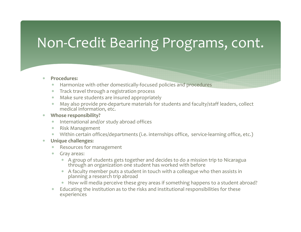## Non‐Credit Bearing Programs, cont.

#### $\ast$ **Procedures:**

- ∗ \* Harmonize with other domestically-focused policies and procedures
- ∗ Track travel through <sup>a</sup> registration process
- Make sure students are insured appropriately
- $*$ May also provide pre-departure materials for students and faculty/staff leaders, collect medical information, etc.

#### $*$ **Whose responsibility?**

- International and/or study abroad offices
- Risk Management
- Within certain offices/departments (i.e. internships office, service‐learning office, etc.)
- $\ast$  **Unique challenges:**
	- Resources for management
	- Gray areas:
		- A group of students gets together and decides to do <sup>a</sup> mission trip to Nicaragua through an organization one student has worked with before
		- A faculty member puts <sup>a</sup> student in touch with <sup>a</sup> colleague who then assists in planning <sup>a</sup> research trip abroad
		- $\hspace{0.1mm}^*$  How will media perceive these grey areas if something happens to a student abroad?
	- $*$  Educating the institution as to the risks and institutional responsibilities for these experiences